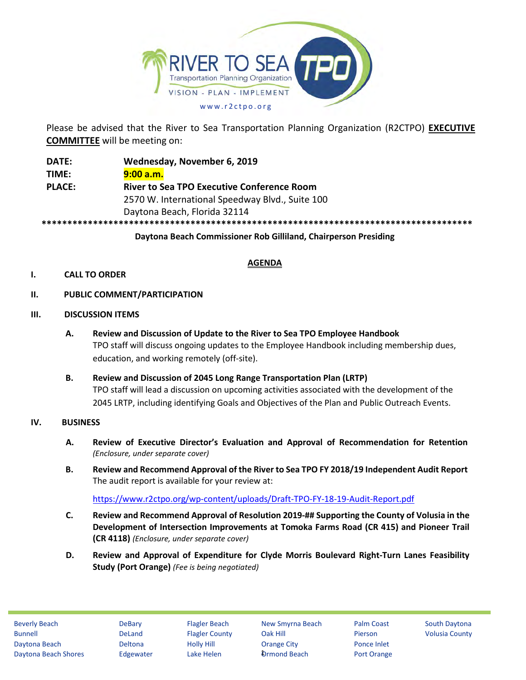

Please be advised that the River to Sea Transportation Planning Organization (R2CTPO) **EXECUTIVE COMMITTEE** will be meeting on:

**DATE: Wednesday, November 6, 2019 TIME: 9:00 a.m. PLACE: River to Sea TPO Executive Conference Room** 2570 W. International Speedway Blvd., Suite 100 Daytona Beach, Florida 32114 **\*\*\*\*\*\*\*\*\*\*\*\*\*\*\*\*\*\*\*\*\*\*\*\*\*\*\*\*\*\*\*\*\*\*\*\*\*\*\*\*\*\*\*\*\*\*\*\*\*\*\*\*\*\*\*\*\*\*\*\*\*\*\*\*\*\*\*\*\*\*\*\*\*\*\*\*\*\*\*\*\*\*\*\***

**Daytona Beach Commissioner Rob Gilliland, Chairperson Presiding**

# **AGENDA**

## **I. CALL TO ORDER**

- **II. PUBLIC COMMENT/PARTICIPATION**
- **III. DISCUSSION ITEMS**
	- **A. Review and Discussion of Update to the River to Sea TPO Employee Handbook** TPO staff will discuss ongoing updates to the Employee Handbook including membership dues, education, and working remotely (off-site).
	- **B. Review and Discussion of 2045 Long Range Transportation Plan (LRTP)** TPO staff will lead a discussion on upcoming activities associated with the development of the 2045 LRTP, including identifying Goals and Objectives of the Plan and Public Outreach Events.

#### **IV. BUSINESS**

- **A. Review of Executive Director's Evaluation and Approval of Recommendation for Retention** *(Enclosure, under separate cover)*
- **B. Review and Recommend Approval of the River to Sea TPO FY 2018/19 Independent Audit Report** The audit report is available for your review at:

<https://www.r2ctpo.org/wp-content/uploads/Draft-TPO-FY-18-19-Audit-Report.pdf>

- **C. Review and Recommend Approval of Resolution 2019-## Supporting the County of Volusia in the Development of Intersection Improvements at Tomoka Farms Road (CR 415) and Pioneer Trail (CR 4118)** *(Enclosure, under separate cover)*
- **D. Review and Approval of Expenditure for Clyde Morris Boulevard Right-Turn Lanes Feasibility Study (Port Orange)** *(Fee is being negotiated)*

**Ormond Beach**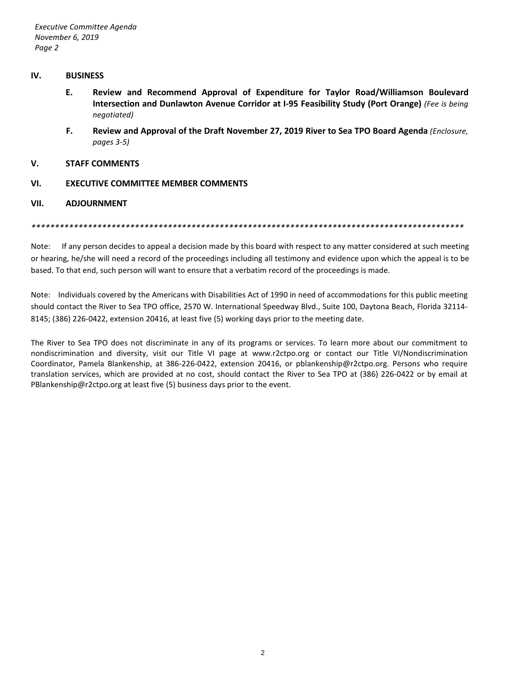#### **IV. BUSINESS**

- **E. Review and Recommend Approval of Expenditure for Taylor Road/Williamson Boulevard Intersection and Dunlawton Avenue Corridor at I-95 Feasibility Study (Port Orange)** *(Fee is being negotiated)*
- **F. Review and Approval of the Draft November 27, 2019 River to Sea TPO Board Agenda** *(Enclosure, pages 3-5)*

#### **V. STAFF COMMENTS**

**VI. EXECUTIVE COMMITTEE MEMBER COMMENTS**

#### **VII. ADJOURNMENT**

*\*\*\*\*\*\*\*\*\*\*\*\*\*\*\*\*\*\*\*\*\*\*\*\*\*\*\*\*\*\*\*\*\*\*\*\*\*\*\*\*\*\*\*\*\*\*\*\*\*\*\*\*\*\*\*\*\*\*\*\*\*\*\*\*\*\*\*\*\*\*\*\*\*\*\*\*\*\*\*\*\*\*\*\*\*\*\*\*\*\*\*\**

Note: If any person decides to appeal a decision made by this board with respect to any matter considered at such meeting or hearing, he/she will need a record of the proceedings including all testimony and evidence upon which the appeal is to be based. To that end, such person will want to ensure that a verbatim record of the proceedings is made.

Note: Individuals covered by the Americans with Disabilities Act of 1990 in need of accommodations for this public meeting should contact the River to Sea TPO office, 2570 W. International Speedway Blvd., Suite 100, Daytona Beach, Florida 32114- 8145; (386) 226-0422, extension 20416, at least five (5) working days prior to the meeting date.

The River to Sea TPO does not discriminate in any of its programs or services. To learn more about our commitment to nondiscrimination and diversity, visit our Title VI page at www.r2ctpo.org or contact our Title VI/Nondiscrimination Coordinator, Pamela Blankenship, at 386-226-0422, extension 20416, or pblankenship@r2ctpo.org. Persons who require translation services, which are provided at no cost, should contact the River to Sea TPO at (386) 226-0422 or by email at PBlankenship@r2ctpo.org at least five (5) business days prior to the event.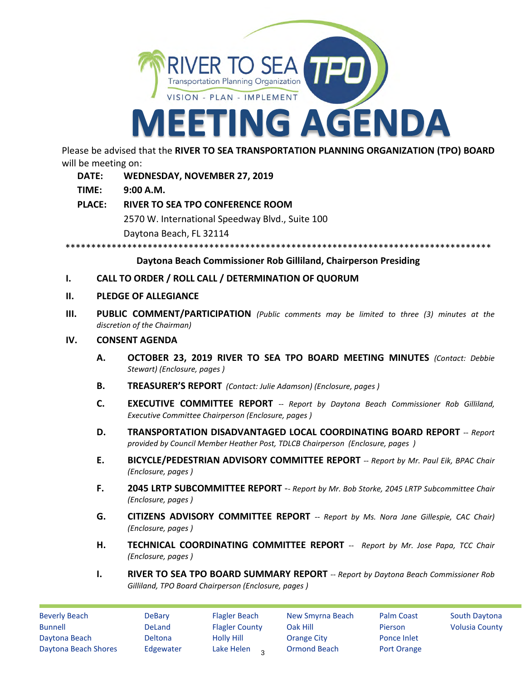

Please be advised that the **RIVER TO SEA TRANSPORTATION PLANNING ORGANIZATION (TPO) BOARD** will be meeting on:

- **DATE: WEDNESDAY, NOVEMBER 27, 2019**
- **TIME: 9:00 A.M.**
- **PLACE: RIVER TO SEA TPO CONFERENCE ROOM** 2570 W. International Speedway Blvd., Suite 100 Daytona Beach, FL 32114

\*\*\*\*\*\*\*\*\*\*\*\*\*\*\*\*\*\*\*\*\*\*\*\*\*\*\*\*\*\*\*\*\*\*\*\*\*\*\*\*\*\*\*\*\*\*\*\*\*\*\*\*\*\*\*\*\*\*\*\*\*\*\*\*\*\*\*\*\*\*\*\*\*\*\*\*\*\*\*\*\*\*\*

#### **Daytona Beach Commissioner Rob Gilliland, Chairperson Presiding**

#### **I. CALL TO ORDER / ROLL CALL / DETERMINATION OF QUORUM**

#### **II. PLEDGE OF ALLEGIANCE**

**III. PUBLIC COMMENT/PARTICIPATION** *(Public comments may be limited to three (3) minutes at the discretion of the Chairman)*

#### **IV. CONSENT AGENDA**

- **A. OCTOBER 23, 2019 RIVER TO SEA TPO BOARD MEETING MINUTES** *(Contact: Debbie Stewart) (Enclosure, pages )*
- **B. TREASURER'S REPORT** *(Contact: Julie Adamson) (Enclosure, pages )*
- **C. EXECUTIVE COMMITTEE REPORT** *-- Report by Daytona Beach Commissioner Rob Gilliland, Executive Committee Chairperson (Enclosure, pages )*
- **D. TRANSPORTATION DISADVANTAGED LOCAL COORDINATING BOARD REPORT** -- *Report provided by Council Member Heather Post, TDLCB Chairperson (Enclosure, pages )*
- **E. BICYCLE/PEDESTRIAN ADVISORY COMMITTEE REPORT** *-- Report by Mr. Paul Eik, BPAC Chair (Enclosure, pages )*
- **F. 2045 LRTP SUBCOMMITTEE REPORT** -- *Report by Mr. Bob Storke, 2045 LRTP Subcommittee Chair (Enclosure, pages )*
- **G. CITIZENS ADVISORY COMMITTEE REPORT** *-- Report by Ms. Nora Jane Gillespie, CAC Chair) (Enclosure, pages )*
- **H. TECHNICAL COORDINATING COMMITTEE REPORT** *-- Report by Mr. Jose Papa, TCC Chair (Enclosure, pages )*
- **I. RIVER TO SEA TPO BOARD SUMMARY REPORT** *-- Report by Daytona Beach Commissioner Rob Gilliland, TPO Board Chairperson (Enclosure, pages )*

Beverly Beach DeBary Flagler Beach New Smyrna Beach Palm Coast South Daytona Bunnell **South American County Contact County** Oak Hill **Pierson** Volusia County Daytona Beach Deltona Holly Hill Orange City Ponce Inlet Daytona Beach Shores Edgewater Lake Helen 2 Ormond Beach Port Orange

Lake Helen<sub>3</sub>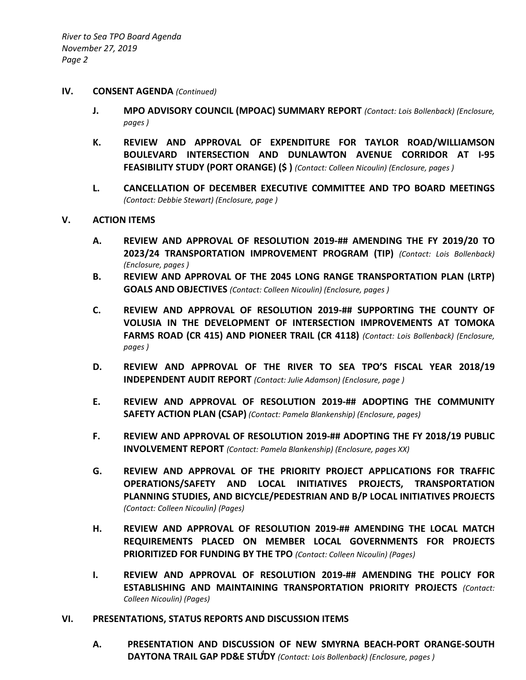#### **IV. CONSENT AGENDA** *(Continued)*

- **J. MPO ADVISORY COUNCIL (MPOAC) SUMMARY REPORT** *(Contact: Lois Bollenback) (Enclosure, pages )*
- **K. REVIEW AND APPROVAL OF EXPENDITURE FOR TAYLOR ROAD/WILLIAMSON BOULEVARD INTERSECTION AND DUNLAWTON AVENUE CORRIDOR AT I-95 FEASIBILITY STUDY (PORT ORANGE) (\$ )** *(Contact: Colleen Nicoulin) (Enclosure, pages )*
- **L. CANCELLATION OF DECEMBER EXECUTIVE COMMITTEE AND TPO BOARD MEETINGS**  *(Contact: Debbie Stewart) (Enclosure, page )*

## **V. ACTION ITEMS**

- **A. REVIEW AND APPROVAL OF RESOLUTION 2019-## AMENDING THE FY 2019/20 TO 2023/24 TRANSPORTATION IMPROVEMENT PROGRAM (TIP)** *(Contact: Lois Bollenback) (Enclosure, pages )*
- **B. REVIEW AND APPROVAL OF THE 2045 LONG RANGE TRANSPORTATION PLAN (LRTP) GOALS AND OBJECTIVES** *(Contact: Colleen Nicoulin) (Enclosure, pages )*
- **C. REVIEW AND APPROVAL OF RESOLUTION 2019-## SUPPORTING THE COUNTY OF VOLUSIA IN THE DEVELOPMENT OF INTERSECTION IMPROVEMENTS AT TOMOKA FARMS ROAD (CR 415) AND PIONEER TRAIL (CR 4118)** *(Contact: Lois Bollenback) (Enclosure, pages )*
- **D. REVIEW AND APPROVAL OF THE RIVER TO SEA TPO'S FISCAL YEAR 2018/19 INDEPENDENT AUDIT REPORT** *(Contact: Julie Adamson) (Enclosure, page )*
- **E. REVIEW AND APPROVAL OF RESOLUTION 2019-## ADOPTING THE COMMUNITY SAFETY ACTION PLAN (CSAP)** *(Contact: Pamela Blankenship) (Enclosure, pages)*
- **F. REVIEW AND APPROVAL OF RESOLUTION 2019-## ADOPTING THE FY 2018/19 PUBLIC INVOLVEMENT REPORT** *(Contact: Pamela Blankenship) (Enclosure, pages XX)*
- **G. REVIEW AND APPROVAL OF THE PRIORITY PROJECT APPLICATIONS FOR TRAFFIC OPERATIONS/SAFETY AND LOCAL INITIATIVES PROJECTS, TRANSPORTATION PLANNING STUDIES, AND BICYCLE/PEDESTRIAN AND B/P LOCAL INITIATIVES PROJECTS**  *(Contact: Colleen Nicoulin) (Pages)*
- **H. REVIEW AND APPROVAL OF RESOLUTION 2019-## AMENDING THE LOCAL MATCH REQUIREMENTS PLACED ON MEMBER LOCAL GOVERNMENTS FOR PROJECTS PRIORITIZED FOR FUNDING BY THE TPO** *(Contact: Colleen Nicoulin) (Pages)*
- **I. REVIEW AND APPROVAL OF RESOLUTION 2019-## AMENDING THE POLICY FOR ESTABLISHING AND MAINTAINING TRANSPORTATION PRIORITY PROJECTS** *(Contact: Colleen Nicoulin) (Pages)*

#### **VI. PRESENTATIONS, STATUS REPORTS AND DISCUSSION ITEMS**

**A. PRESENTATION AND DISCUSSION OF NEW SMYRNA BEACH-PORT ORANGE-SOUTH DAYTONA TRAIL GAP PD&E STUDY** *(Contact: Lois Bollenback) (Enclosure, pages )*  4